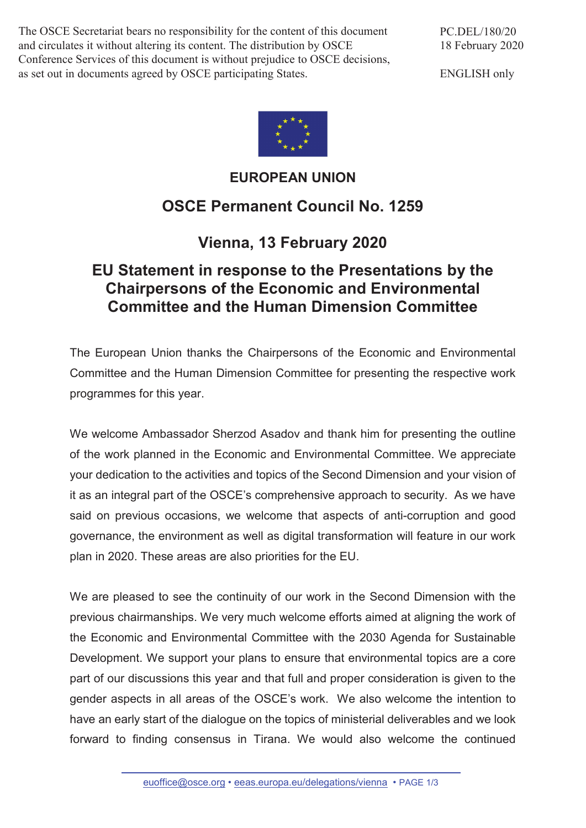The OSCE Secretariat bears no responsibility for the content of this document and circulates it without altering its content. The distribution by OSCE Conference Services of this document is without prejudice to OSCE decisions, as set out in documents agreed by OSCE participating States.

PC.DEL/180/20 18 February 2020

ENGLISH only



## **EUROPEAN UNION OSCE Permanent Council No. 1259**

## **Vienna, 13 February 2020**

## **EU Statement in response to the Presentations by the Chairpersons of the Economic and Environmental Committee and the Human Dimension Committee**

The European Union thanks the Chairpersons of the Economic and Environmental Committee and the Human Dimension Committee for presenting the respective work programmes for this year.

We welcome Ambassador Sherzod Asadov and thank him for presenting the outline of the work planned in the Economic and Environmental Committee. We appreciate your dedication to the activities and topics of the Second Dimension and your vision of it as an integral part of the OSCE's comprehensive approach to security. As we have said on previous occasions, we welcome that aspects of anti-corruption and good governance, the environment as well as digital transformation will feature in our work plan in 2020. These areas are also priorities for the EU.

We are pleased to see the continuity of our work in the Second Dimension with the previous chairmanships. We very much welcome efforts aimed at aligning the work of the Economic and Environmental Committee with the 2030 Agenda for Sustainable Development. We support your plans to ensure that environmental topics are a core part of our discussions this year and that full and proper consideration is given to the gender aspects in all areas of the OSCE's work. We also welcome the intention to have an early start of the dialogue on the topics of ministerial deliverables and we look forward to finding consensus in Tirana. We would also welcome the continued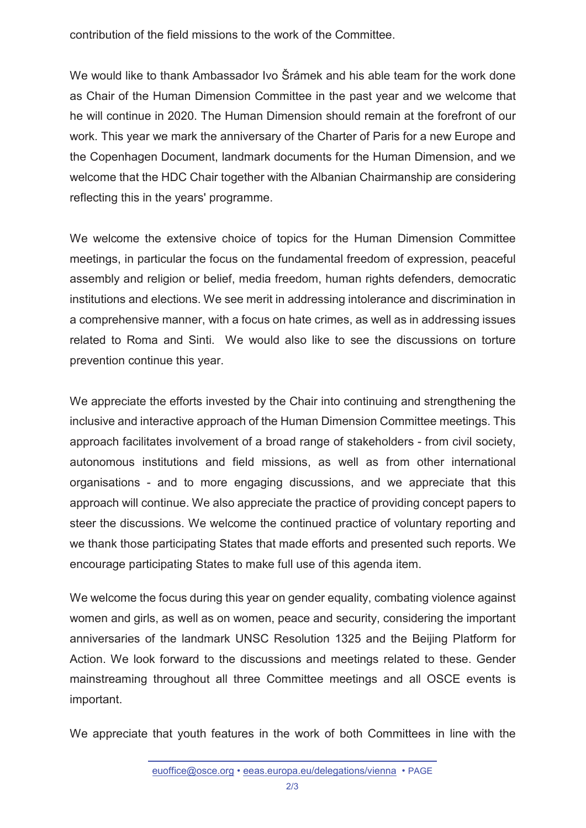contribution of the field missions to the work of the Committee.

We would like to thank Ambassador Ivo Šrámek and his able team for the work done as Chair of the Human Dimension Committee in the past year and we welcome that he will continue in 2020. The Human Dimension should remain at the forefront of our work. This year we mark the anniversary of the Charter of Paris for a new Europe and the Copenhagen Document, landmark documents for the Human Dimension, and we welcome that the HDC Chair together with the Albanian Chairmanship are considering reflecting this in the years' programme.

We welcome the extensive choice of topics for the Human Dimension Committee meetings, in particular the focus on the fundamental freedom of expression, peaceful assembly and religion or belief, media freedom, human rights defenders, democratic institutions and elections. We see merit in addressing intolerance and discrimination in a comprehensive manner, with a focus on hate crimes, as well as in addressing issues related to Roma and Sinti. We would also like to see the discussions on torture prevention continue this year.

We appreciate the efforts invested by the Chair into continuing and strengthening the inclusive and interactive approach of the Human Dimension Committee meetings. This approach facilitates involvement of a broad range of stakeholders - from civil society, autonomous institutions and field missions, as well as from other international organisations - and to more engaging discussions, and we appreciate that this approach will continue. We also appreciate the practice of providing concept papers to steer the discussions. We welcome the continued practice of voluntary reporting and we thank those participating States that made efforts and presented such reports. We encourage participating States to make full use of this agenda item.

We welcome the focus during this year on gender equality, combating violence against women and girls, as well as on women, peace and security, considering the important anniversaries of the landmark UNSC Resolution 1325 and the Beijing Platform for Action. We look forward to the discussions and meetings related to these. Gender mainstreaming throughout all three Committee meetings and all OSCE events is important.

We appreciate that youth features in the work of both Committees in line with the